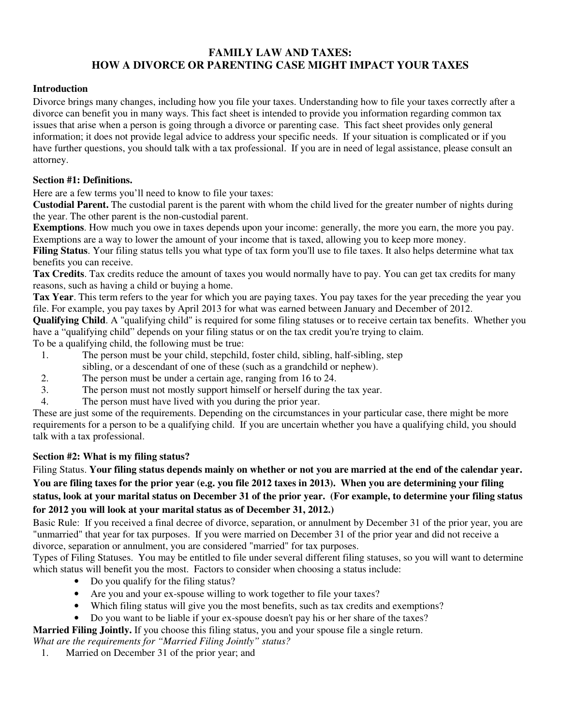### **FAMILY LAW AND TAXES: HOW A DIVORCE OR PARENTING CASE MIGHT IMPACT YOUR TAXES**

#### **Introduction**

Divorce brings many changes, including how you file your taxes. Understanding how to file your taxes correctly after a divorce can benefit you in many ways. This fact sheet is intended to provide you information regarding common tax issues that arise when a person is going through a divorce or parenting case. This fact sheet provides only general information; it does not provide legal advice to address your specific needs. If your situation is complicated or if you have further questions, you should talk with a tax professional. If you are in need of legal assistance, please consult an attorney.

#### **Section #1: Definitions.**

Here are a few terms you'll need to know to file your taxes:

**Custodial Parent.** The custodial parent is the parent with whom the child lived for the greater number of nights during the year. The other parent is the non-custodial parent.

**Exemptions**. How much you owe in taxes depends upon your income: generally, the more you earn, the more you pay. Exemptions are a way to lower the amount of your income that is taxed, allowing you to keep more money.

**Filing Status**. Your filing status tells you what type of tax form you'll use to file taxes. It also helps determine what tax benefits you can receive.

**Tax Credits**. Tax credits reduce the amount of taxes you would normally have to pay. You can get tax credits for many reasons, such as having a child or buying a home.

**Tax Year**. This term refers to the year for which you are paying taxes. You pay taxes for the year preceding the year you file. For example, you pay taxes by April 2013 for what was earned between January and December of 2012.

**Qualifying Child**. A "qualifying child" is required for some filing statuses or to receive certain tax benefits. Whether you have a "qualifying child" depends on your filing status or on the tax credit you're trying to claim.

To be a qualifying child, the following must be true:

- 1. The person must be your child, stepchild, foster child, sibling, half-sibling, step sibling, or a descendant of one of these (such as a grandchild or nephew).
- 2. The person must be under a certain age, ranging from 16 to 24.
- 3. The person must not mostly support himself or herself during the tax year.
- 4. The person must have lived with you during the prior year.

These are just some of the requirements. Depending on the circumstances in your particular case, there might be more requirements for a person to be a qualifying child. If you are uncertain whether you have a qualifying child, you should talk with a tax professional.

### **Section #2: What is my filing status?**

Filing Status. **Your filing status depends mainly on whether or not you are married at the end of the calendar year. You are filing taxes for the prior year (e.g. you file 2012 taxes in 2013). When you are determining your filing status, look at your marital status on December 31 of the prior year. (For example, to determine your filing status for 2012 you will look at your marital status as of December 31, 2012.)** 

Basic Rule: If you received a final decree of divorce, separation, or annulment by December 31 of the prior year, you are "unmarried" that year for tax purposes. If you were married on December 31 of the prior year and did not receive a divorce, separation or annulment, you are considered "married" for tax purposes.

Types of Filing Statuses. You may be entitled to file under several different filing statuses, so you will want to determine which status will benefit you the most. Factors to consider when choosing a status include:

- Do you qualify for the filing status?
- Are you and your ex-spouse willing to work together to file your taxes?
- Which filing status will give you the most benefits, such as tax credits and exemptions?
- Do you want to be liable if your ex-spouse doesn't pay his or her share of the taxes?
- **Married Filing Jointly.** If you choose this filing status, you and your spouse file a single return.

*What are the requirements for "Married Filing Jointly" status?*

1. Married on December 31 of the prior year; and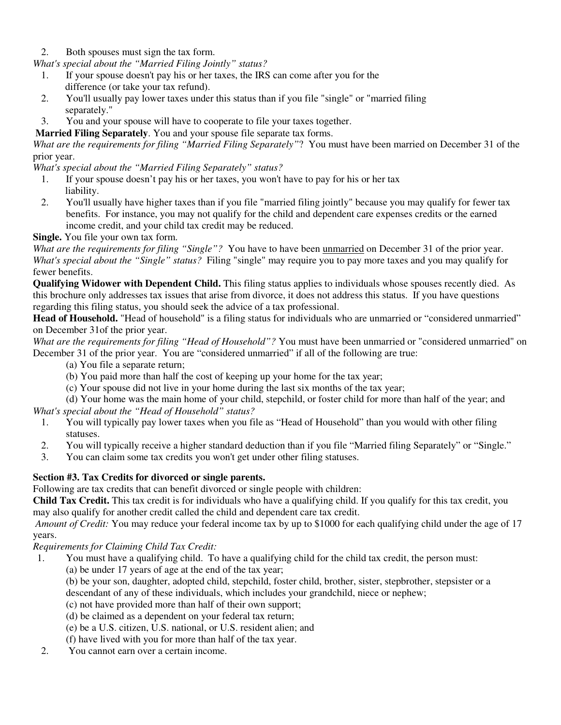2. Both spouses must sign the tax form.

*What's special about the "Married Filing Jointly" status?*

- 1. If your spouse doesn't pay his or her taxes, the IRS can come after you for the difference (or take your tax refund).
- 2. You'll usually pay lower taxes under this status than if you file "single" or "married filing separately."
- 3. You and your spouse will have to cooperate to file your taxes together.

# **Married Filing Separately**. You and your spouse file separate tax forms.

*What are the requirements for filing "Married Filing Separately"*? You must have been married on December 31 of the prior year.

*What's special about the "Married Filing Separately" status?* 

- 1. If your spouse doesn't pay his or her taxes, you won't have to pay for his or her tax liability.
- 2. You'll usually have higher taxes than if you file "married filing jointly" because you may qualify for fewer tax benefits. For instance, you may not qualify for the child and dependent care expenses credits or the earned income credit, and your child tax credit may be reduced.

**Single.** You file your own tax form.

*What are the requirements for filing "Single"?* You have to have been unmarried on December 31 of the prior year. *What's special about the "Single" status?* Filing "single" may require you to pay more taxes and you may qualify for fewer benefits.

**Qualifying Widower with Dependent Child.** This filing status applies to individuals whose spouses recently died. As this brochure only addresses tax issues that arise from divorce, it does not address this status. If you have questions regarding this filing status, you should seek the advice of a tax professional.

**Head of Household.** "Head of household" is a filing status for individuals who are unmarried or "considered unmarried" on December 31of the prior year.

*What are the requirements for filing "Head of Household"?* You must have been unmarried or "considered unmarried" on December 31 of the prior year. You are "considered unmarried" if all of the following are true:

- (a) You file a separate return;
- (b) You paid more than half the cost of keeping up your home for the tax year;
- (c) Your spouse did not live in your home during the last six months of the tax year;

(d) Your home was the main home of your child, stepchild, or foster child for more than half of the year; and *What's special about the "Head of Household" status?*

- 1. You will typically pay lower taxes when you file as "Head of Household" than you would with other filing statuses.
- 2. You will typically receive a higher standard deduction than if you file "Married filing Separately" or "Single."
- 3. You can claim some tax credits you won't get under other filing statuses.

### **Section #3. Tax Credits for divorced or single parents.**

Following are tax credits that can benefit divorced or single people with children:

**Child Tax Credit.** This tax credit is for individuals who have a qualifying child. If you qualify for this tax credit, you may also qualify for another credit called the child and dependent care tax credit.

*Amount of Credit:* You may reduce your federal income tax by up to \$1000 for each qualifying child under the age of 17 years.

*Requirements for Claiming Child Tax Credit:* 

- 1. You must have a qualifying child. To have a qualifying child for the child tax credit, the person must:
	- (a) be under 17 years of age at the end of the tax year;
	- (b) be your son, daughter, adopted child, stepchild, foster child, brother, sister, stepbrother, stepsister or a descendant of any of these individuals, which includes your grandchild, niece or nephew;
	- (c) not have provided more than half of their own support;

(d) be claimed as a dependent on your federal tax return;

(e) be a U.S. citizen, U.S. national, or U.S. resident alien; and

(f) have lived with you for more than half of the tax year.

2. You cannot earn over a certain income.